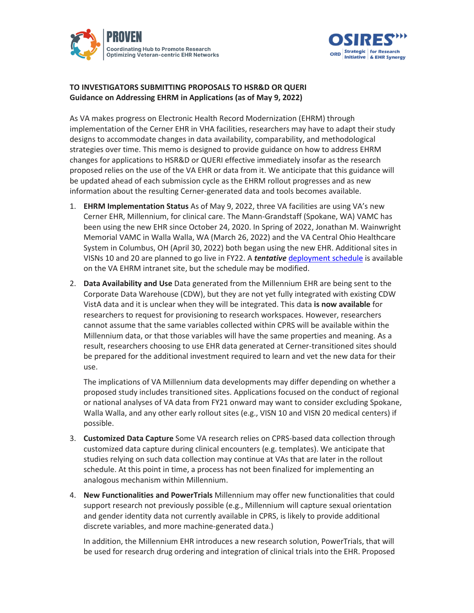



## **TO INVESTIGATORS SUBMITTING PROPOSALS TO HSR&D OR QUERI Guidance on Addressing EHRM in Applications (as of May 9, 2022)**

As VA makes progress on Electronic Health Record Modernization (EHRM) through implementation of the Cerner EHR in VHA facilities, researchers may have to adapt their study designs to accommodate changes in data availability, comparability, and methodological strategies over time. This memo is designed to provide guidance on how to address EHRM changes for applications to HSR&D or QUERI effective immediately insofar as the research proposed relies on the use of the VA EHR or data from it. We anticipate that this guidance will be updated ahead of each submission cycle as the EHRM rollout progresses and as new information about the resulting Cerner-generated data and tools becomes available.

- 1. **EHRM Implementation Status** As of May 9, 2022, three VA facilities are using VA's new Cerner EHR, Millennium, for clinical care. The Mann-Grandstaff (Spokane, WA) VAMC has been using the new EHR since October 24, 2020. In Spring of 2022, Jonathan M. Wainwright Memorial VAMC in Walla Walla, WA (March 26, 2022) and the VA Central Ohio Healthcare System in Columbus, OH (April 30, 2022) both began using the new EHR. Additional sites in VISNs 10 and 20 are planned to go live in FY22. A *tentative* [deployment schedule](https://vaww.ehrm.va.gov/deployment-schedule/) is available on the VA EHRM intranet site, but the schedule may be modified.
- 2. **Data Availability and Use** Data generated from the Millennium EHR are being sent to the Corporate Data Warehouse (CDW), but they are not yet fully integrated with existing CDW VistA data and it is unclear when they will be integrated. This data **is now available** for researchers to request for provisioning to research workspaces. However, researchers cannot assume that the same variables collected within CPRS will be available within the Millennium data, or that those variables will have the same properties and meaning. As a result, researchers choosing to use EHR data generated at Cerner-transitioned sites should be prepared for the additional investment required to learn and vet the new data for their use.

The implications of VA Millennium data developments may differ depending on whether a proposed study includes transitioned sites. Applications focused on the conduct of regional or national analyses of VA data from FY21 onward may want to consider excluding Spokane, Walla Walla, and any other early rollout sites (e.g., VISN 10 and VISN 20 medical centers) if possible.

- 3. **Customized Data Capture** Some VA research relies on CPRS-based data collection through customized data capture during clinical encounters (e.g. templates). We anticipate that studies relying on such data collection may continue at VAs that are later in the rollout schedule. At this point in time, a process has not been finalized for implementing an analogous mechanism within Millennium.
- 4. **New Functionalities and PowerTrials** Millennium may offer new functionalities that could support research not previously possible (e.g., Millennium will capture sexual orientation and gender identity data not currently available in CPRS, is likely to provide additional discrete variables, and more machine-generated data.)

In addition, the Millennium EHR introduces a new research solution, PowerTrials, that will be used for research drug ordering and integration of clinical trials into the EHR. Proposed